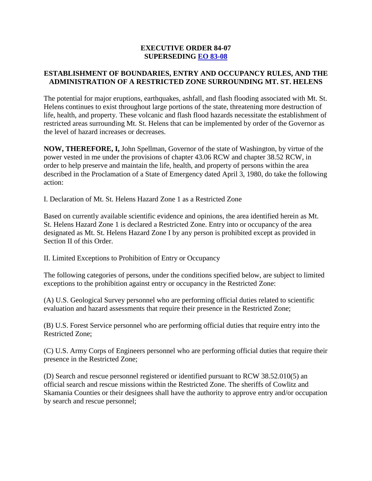### **EXECUTIVE ORDER 84-07 SUPERSEDING [EO 83-08](http://governor.wa.gov/office/execorders/eoarchive/eo83-08.htm)**

# **ESTABLISHMENT OF BOUNDARIES, ENTRY AND OCCUPANCY RULES, AND THE ADMINISTRATION OF A RESTRICTED ZONE SURROUNDING MT. ST. HELENS**

The potential for major eruptions, earthquakes, ashfall, and flash flooding associated with Mt. St. Helens continues to exist throughout large portions of the state, threatening more destruction of life, health, and property. These volcanic and flash flood hazards necessitate the establishment of restricted areas surrounding Mt. St. Helens that can be implemented by order of the Governor as the level of hazard increases or decreases.

**NOW, THEREFORE, I,** John Spellman, Governor of the state of Washington, by virtue of the power vested in me under the provisions of chapter 43.06 RCW and chapter 38.52 RCW, in order to help preserve and maintain the life, health, and property of persons within the area described in the Proclamation of a State of Emergency dated April 3, 1980, do take the following action:

I. Declaration of Mt. St. Helens Hazard Zone 1 as a Restricted Zone

Based on currently available scientific evidence and opinions, the area identified herein as Mt. St. Helens Hazard Zone 1 is declared a Restricted Zone. Entry into or occupancy of the area designated as Mt. St. Helens Hazard Zone I by any person is prohibited except as provided in Section II of this Order.

II. Limited Exceptions to Prohibition of Entry or Occupancy

The following categories of persons, under the conditions specified below, are subject to limited exceptions to the prohibition against entry or occupancy in the Restricted Zone:

(A) U.S. Geological Survey personnel who are performing official duties related to scientific evaluation and hazard assessments that require their presence in the Restricted Zone;

(B) U.S. Forest Service personnel who are performing official duties that require entry into the Restricted Zone;

(C) U.S. Army Corps of Engineers personnel who are performing official duties that require their presence in the Restricted Zone;

(D) Search and rescue personnel registered or identified pursuant to RCW 38.52.010(5) an official search and rescue missions within the Restricted Zone. The sheriffs of Cowlitz and Skamania Counties or their designees shall have the authority to approve entry and/or occupation by search and rescue personnel;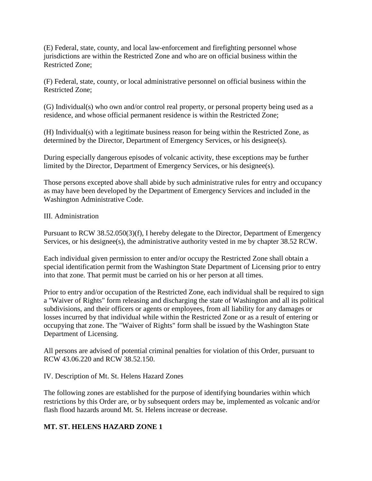(E) Federal, state, county, and local law-enforcement and firefighting personnel whose jurisdictions are within the Restricted Zone and who are on official business within the Restricted Zone;

(F) Federal, state, county, or local administrative personnel on official business within the Restricted Zone;

(G) Individual(s) who own and/or control real property, or personal property being used as a residence, and whose official permanent residence is within the Restricted Zone;

(H) Individual(s) with a legitimate business reason for being within the Restricted Zone, as determined by the Director, Department of Emergency Services, or his designee(s).

During especially dangerous episodes of volcanic activity, these exceptions may be further limited by the Director, Department of Emergency Services, or his designee(s).

Those persons excepted above shall abide by such administrative rules for entry and occupancy as may have been developed by the Department of Emergency Services and included in the Washington Administrative Code.

# III. Administration

Pursuant to RCW 38.52.050(3)(f), I hereby delegate to the Director, Department of Emergency Services, or his designee(s), the administrative authority vested in me by chapter 38.52 RCW.

Each individual given permission to enter and/or occupy the Restricted Zone shall obtain a special identification permit from the Washington State Department of Licensing prior to entry into that zone. That permit must be carried on his or her person at all times.

Prior to entry and/or occupation of the Restricted Zone, each individual shall be required to sign a "Waiver of Rights" form releasing and discharging the state of Washington and all its political subdivisions, and their officers or agents or employees, from all liability for any damages or losses incurred by that individual while within the Restricted Zone or as a result of entering or occupying that zone. The "Waiver of Rights" form shall be issued by the Washington State Department of Licensing.

All persons are advised of potential criminal penalties for violation of this Order, pursuant to RCW 43.06.220 and RCW 38.52.150.

#### IV. Description of Mt. St. Helens Hazard Zones

The following zones are established for the purpose of identifying boundaries within which restrictions by this Order are, or by subsequent orders may be, implemented as volcanic and/or flash flood hazards around Mt. St. Helens increase or decrease.

# **MT. ST. HELENS HAZARD ZONE 1**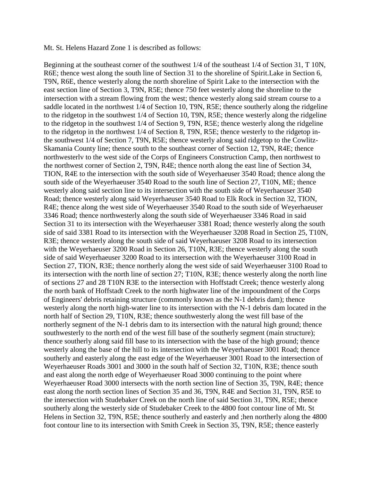#### Mt. St. Helens Hazard Zone 1 is described as follows:

Beginning at the southeast corner of the southwest 1/4 of the southeast 1/4 of Section 31, T 10N, R6E; thence west along the south line of Section 31 to the shoreline of Spirit.Lake in Section 6, T9N, R6E, thence westerly along the north shoreline of Spirit Lake to the intersection with the east section line of Section 3, T9N, R5E; thence 750 feet westerly along the shoreline to the intersection with a stream flowing from the west; thence westerly along said stream course to a saddle located in the northwest 1/4 of Section 10, T9N, R5E; thence southerly along the ridgeline to the ridgetop in the southwest 1/4 of Section 10, T9N, R5E; thence westerly along the ridgeline to the ridgetop in the southwest 1/4 of Section 9, T9N, R5E; thence westerly along the ridgeline to the ridgetop in the northwest 1/4 of Section 8, T9N, R5E; thence westerly to the ridgetop inthe southwest 1/4 of Section 7, T9N, R5E; thence westerly along said ridgetop to the Cowlitz-Skamania County line; thence south to the southeast corner of Section 12, T9N, R4E; thence northwesterlv to the west side of the Corps of Engineers Construction Camp, then northwest to the northwest corner of Section 2, T9N, R4E; thence north along the east line of Section 34, TION, R4E to the intersection with the south side of Weyerhaeuser 3540 Road; thence along the south side of the Weyerhaeuser 3540 Road to the south line of Section 27, T10N, ME; thence westerly along said section line to its intersection with the south side of Weyerhaeuser 3540 Road; thence westerly along said Weyerhaeuser 3540 Road to Elk Rock in Section 32, TION, R4E; thence along the west side of Weyerhaeuser 3540 Road to the south side of Weyerhaeuser 3346 Road; thence northwesterly along the south side of Weyerhaeuser 3346 Road in said Section 31 to its intersection with the Weyerhaeuser 3381 Road; thence westerly along the south side of said 3381 Road to its intersection with the Weyerhaeuser 3208 Road in Section 25, T10N, R3E; thence westerly along the south side of said Weyerhaeuser 3208 Road to its intersection with the Weyerhaeuser 3200 Road in Section 26, T10N, R3E; thence westerly along the south side of said Weyerhaeuser 3200 Road to its intersection with the Weyerhaeuser 3100 Road in Section 27, TION, R3E; thence northerly along the west side of said Weyerhaeuser 3100 Road to its intersection with the north line of section 27; T10N, R3E; thence westerly along the north line of sections 27 and 28 T10N R3E to the intersection with Hoffstadt Creek; thence westerly along the north bank of Hoffstadt Creek to the north highwater line of the impoundment of the Corps of Engineers' debris retaining structure (commonly known as the N-1 debris dam); thence westerly along the north high-water line to its intersection with the N-1 debris dam located in the north half of Section 29, T10N, R3E; thence southwesterly along the west fill base of the northerly segment of the N-1 debris dam to its intersection with the natural high ground; thence southwesterly to the north end of the west fill base of the southerly segment (main structure); thence southerly along said fill base to its intersection with the base of the high ground; thence westerly along the base of the hill to its intersection with the Weyerhaeuser 3001 Road; thence southerly and easterly along the east edge of the Weyerhaeuser 3001 Road to the intersection of Weyerhaeuser Roads 3001 and 3000 in the south half of Section 32, T10N, R3E; thence south and east along the north edge of Weyerhaeuser Road 3000 continuing to the point where Weyerhaeuser Road 3000 intersects with the north section line of Section 35, T9N, R4E; thence east along the north section lines of Section 35 and 36, T9N, R4E and Section 31, T9N, R5E to the intersection with Studebaker Creek on the north line of said Section 31, T9N, R5E; thence southerly along the westerly side of Studebaker Creek to the 4800 foot contour line of Mt. St Helens in Section 32, T9N, R5E; thence southerly and easterly and ;hen northerly along the 4800 foot contour line to its intersection with Smith Creek in Section 35, T9N, R5E; thence easterly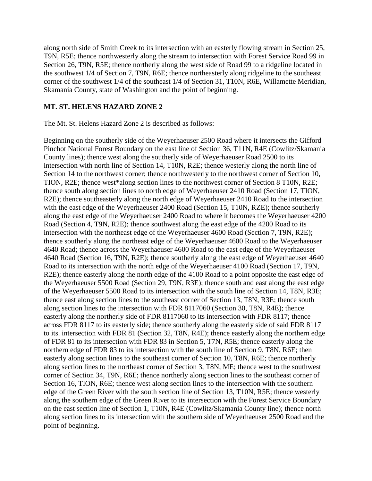along north side of Smith Creek to its intersection with an easterly flowing stream in Section 25, T9N, R5E; thence northwesterly along the stream to intersection with Forest Service Road 99 in Section 26, T9N, R5E; thence northerly along the west side of Road 99 to a ridgeline located in the southwest 1/4 of Section 7, T9N, R6E; thence northeasterly along ridgeline to the southeast corner of the southwest 1/4 of the southeast 1/4 of Section 31, T10N, R6E, Willamette Meridian, Skamania County, state of Washington and the point of beginning.

#### **MT. ST. HELENS HAZARD ZONE 2**

The Mt. St. Helens Hazard Zone 2 is described as follows:

Beginning on the southerly side of the Weyerhaeuser 2500 Road where it intersects the Gifford Pinchot National Forest Boundary on the east line of Section 36, T11N, R4E (Cowlitz/Skamania County lines); thence west along the southerly side of Weyerhaeuser Road 2500 to its intersection with north line of Section 14, T10N, R2E; thence westerly along the north line of Section 14 to the northwest corner; thence northwesterly to the northwest corner of Section 10, TION, R2E; thence west\*along section lines to the northwest corner of Section 8 T10N, R2E; thence south along section lines to north edge of Weyerhaeuser 2410 Road (Section 17, TION, R2E); thence southeasterly along the north edge of Weyerhaeuser 2410 Road to the intersection with the east edge of the Weyerhaeuser 2400 Road (Section 15, T10N, RZE); thence southerly along the east edge of the Weyerhaeuser 2400 Road to where it becomes the Weyerhaeuser 4200 Road (Section 4, T9N, R2E); thence southwest along the east edge of the 4200 Road to its intersection with the northeast edge of the Weyerhaeuser 4600 Road (Section 7, T9N, R2E); thence southerly along the northeast edge of the Weyerhaeuser 4600 Road to the Weyerhaeuser 4640 Road; thence across the Weyerhaeuser 4600 Road to the east edge of the Weyerhaeuser 4640 Road (Section 16, T9N, R2E); thence southerly along the east edge of Weyerhaeuser 4640 Road to its intersection with the north edge of the Weyerhaeuser 4100 Road (Section 17, T9N, R2E); thence easterly along the north edge of the 4100 Road to a point opposite the east edge of the Weyerhaeuser 5500 Road (Section 29, T9N, R3E); thence south and east along the east edge of the Weyerhaeuser 5500 Road to its intersection with the south line of Section 14, T8N, R3E; thence east along section lines to the southeast corner of Section 13, T8N, R3E; thence south along section lines to the intersection with FDR 8117060 (Section 30, T8N, R4E); thence easterly along the northerly side of FDR 8117060 to its intersection with FDR 8117; thence across FDR 8117 to its easterly side; thence southerly along the easterly side of said FDR 8117 to its. intersection with FDR 81 (Section 32, T8N, R4E); thence easterly along the northern edge of FDR 81 to its intersection with FDR 83 in Section 5, T7N, R5E; thence easterly along the northern edge of FDR 83 to its intersection with the south line of Section 9, T8N, R6E; then easterly along section lines to the southeast corner of Section 10, T8N, R6E; thence northerly along section lines to the northeast corner of Section 3, T8N, ME; thence west to the southwest corner of Section 34, T9N, R6E; thence northerly along section lines to the southeast corner of Section 16, TION, R6E; thence west along section lines to the intersection with the southern edge of the Green River with the south section line of Section 13, T10N, R5E; thence westerly along the southern edge of the Green River to its intersection with the Forest Service Boundary on the east section line of Section 1, T10N, R4E (Cowlitz/Skamania County line); thence north along section lines to its intersection with the southern side of Weyerhaeuser 2500 Road and the point of beginning.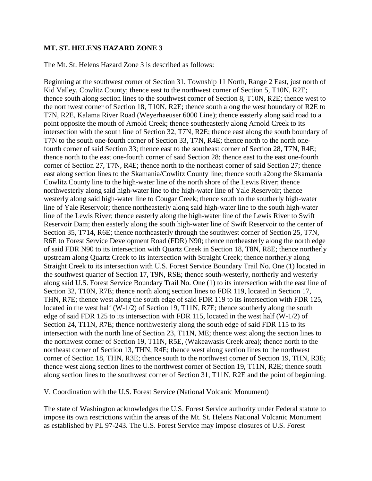#### **MT. ST. HELENS HAZARD ZONE 3**

The Mt. St. Helens Hazard Zone 3 is described as follows:

Beginning at the southwest corner of Section 31, Township 11 North, Range 2 East, just north of Kid Valley, Cowlitz County; thence east to the northwest corner of Section 5, T10N, R2E; thence south along section lines to the southwest corner of Section 8, T10N, R2E; thence west to the northwest corner of Section 18, T10N, R2E; thence south along the west boundary of R2E to T7N, R2E, Kalama River Road (Weyerhaeuser 6000 Line); thence easterly along said road to a point opposite the mouth of Arnold Creek; thence southeasterly along Arnold Creek to its intersection with the south line of Section 32, T7N, R2E; thence east along the south boundary of T7N to the south one-fourth corner of Section 33, T7N, R4E; thence north to the north onefourth corner of said Section 33; thence east to the southeast corner of Section 28, T7N, R4E; thence north to the east one-fourth corner of said Section 28; thence east to the east one-fourth corner of Section 27, T7N, R4E; thence north to the northeast corner of said Section 27; thence east along section lines to the Skamania/Cowlitz County line; thence south a2ong the Skamania Cowlitz County line to the high-water line of the north shore of the Lewis River; thence northwesterly along said high-water line to the high-water line of Yale Reservoir; thence westerly along said high-water line to Cougar Creek; thence south to the southerly high-water line of Yale Reservoir; thence northeasterly along said high-water line to the south high-water line of the Lewis River; thence easterly along the high-water line of the Lewis River to Swift Reservoir Dam; then easterly along the south high-water line of Swift Reservoir to the center of Section 35, T714, R6E; thence northeasterly through the southwest corner of Section 25, T7N, R6E to Forest Service Development Road (FDR) N90; thence northeasterly along the north edge of said FDR N90 to its intersection with Quartz Creek in Section 18, T8N, R8E; thence northerly upstream along Quartz Creek to its intersection with Straight Creek; thence northerly along Straight Creek to its intersection with U.S. Forest Service Boundary Trail No. One (1) located in the southwest quarter of Section 17, T9N, RSE; thence south-westerly, northerly and westerly along said U.S. Forest Service Boundary Trail No. One (1) to its intersection with the east line of Section 32, T10N, R7E; thence north along section lines to FDR 119, located in Section 17, THN, R7E; thence west along the south edge of said FDR 119 to its intersection with FDR 125, located in the west half (W-1/2) of Section 19, T11N, R7E; thence southerly along the south edge of said FDR 125 to its intersection with FDR 115, located in the west half (W-1/2) of Section 24, T11N, R7E; thence northwesterly along the south edge of said FDR 115 to its intersection with the north line of Section 23, T11N, ME; thence west along the section lines to the northwest corner of Section 19, T11N, R5E, (Wakeawasis Creek area); thence north to the northeast corner of Section 13, THN, R4E; thence west along section lines to the northwest corner of Section 18, THN, R3E; thence south to the northwest corner of Section 19, THN, R3E; thence west along section lines to the northwest corner of Section 19, T11N, R2E; thence south along section lines to the southwest corner of Section 31, T11N, R2E and the point of beginning.

V. Coordination with the U.S. Forest Service (National Volcanic Monument)

The state of Washington acknowledges the U.S. Forest Service authority under Federal statute to impose its own restrictions within the areas of the Mt. St. Helens National Volcanic Monument as established by PL 97-243. The U.S. Forest Service may impose closures of U.S. Forest